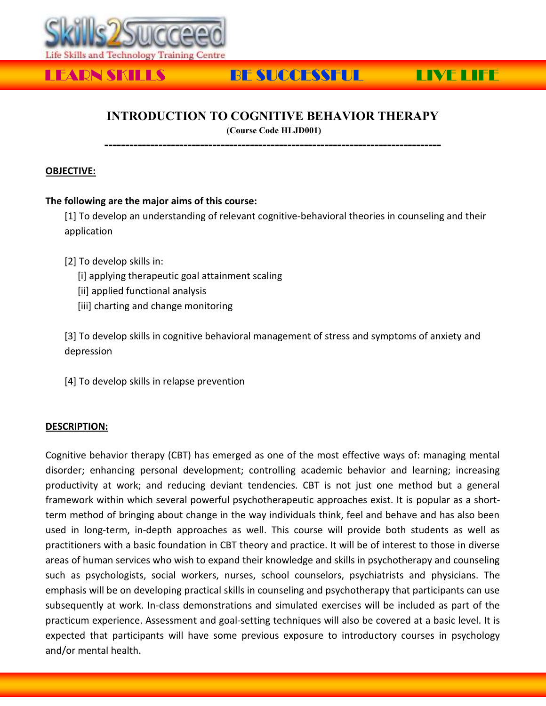

# LEARN SKILLS BE SUCCESSFUL LIVE LIFE

## **INTRODUCTION TO COGNITIVE BEHAVIOR THERAPY**

**(Course Code HLJD001) ---------------------------------------------------------------------------------**

### **OBJECTIVE:**

#### **The following are the major aims of this course:**

[1] To develop an understanding of relevant cognitive-behavioral theories in counseling and their application

[2] To develop skills in:

[i] applying therapeutic goal attainment scaling

- [ii] applied functional analysis
- [iii] charting and change monitoring

[3] To develop skills in cognitive behavioral management of stress and symptoms of anxiety and depression

[4] To develop skills in relapse prevention

#### **DESCRIPTION:**

Cognitive behavior therapy (CBT) has emerged as one of the most effective ways of: managing mental disorder; enhancing personal development; controlling academic behavior and learning; increasing productivity at work; and reducing deviant tendencies. CBT is not just one method but a general framework within which several powerful psychotherapeutic approaches exist. It is popular as a shortterm method of bringing about change in the way individuals think, feel and behave and has also been used in long-term, in-depth approaches as well. This course will provide both students as well as practitioners with a basic foundation in CBT theory and practice. It will be of interest to those in diverse areas of human services who wish to expand their knowledge and skills in psychotherapy and counseling such as psychologists, social workers, nurses, school counselors, psychiatrists and physicians. The emphasis will be on developing practical skills in counseling and psychotherapy that participants can use subsequently at work. In-class demonstrations and simulated exercises will be included as part of the practicum experience. Assessment and goal-setting techniques will also be covered at a basic level. It is expected that participants will have some previous exposure to introductory courses in psychology and/or mental health.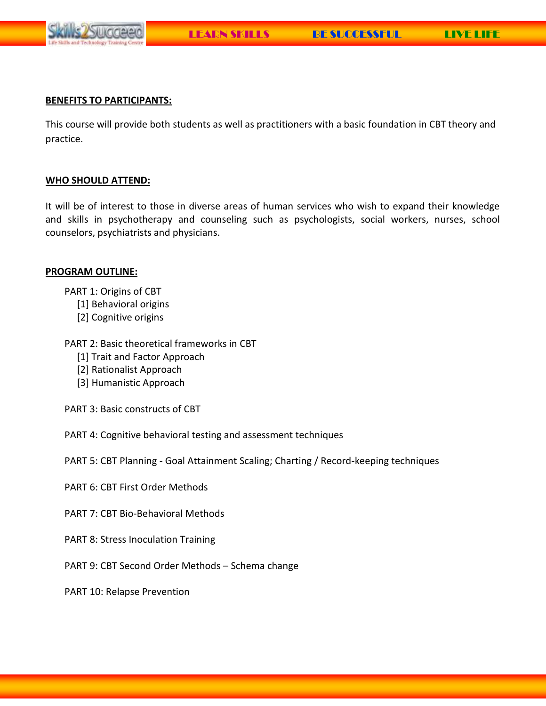

#### **BENEFITS TO PARTICIPANTS:**

This course will provide both students as well as practitioners with a basic foundation in CBT theory and practice.

#### **WHO SHOULD ATTEND:**

It will be of interest to those in diverse areas of human services who wish to expand their knowledge and skills in psychotherapy and counseling such as psychologists, social workers, nurses, school counselors, psychiatrists and physicians.

#### **PROGRAM OUTLINE:**

PART 1: Origins of CBT

- [1] Behavioral origins
- [2] Cognitive origins

PART 2: Basic theoretical frameworks in CBT

- [1] Trait and Factor Approach
- [2] Rationalist Approach
- [3] Humanistic Approach

PART 3: Basic constructs of CBT

PART 4: Cognitive behavioral testing and assessment techniques

PART 5: CBT Planning - Goal Attainment Scaling; Charting / Record-keeping techniques

- PART 6: CBT First Order Methods
- PART 7: CBT Bio-Behavioral Methods
- PART 8: Stress Inoculation Training
- PART 9: CBT Second Order Methods Schema change

PART 10: Relapse Prevention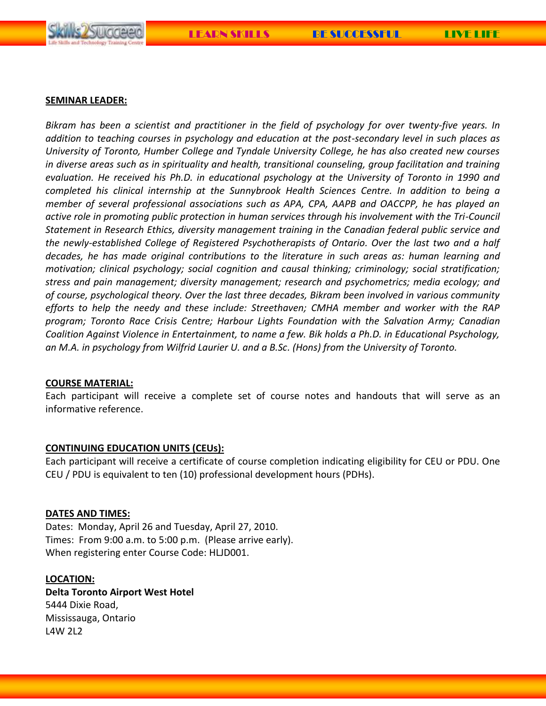



#### **SEMINAR LEADER:**

*Bikram has been a scientist and practitioner in the field of psychology for over twenty-five years. In addition to teaching courses in psychology and education at the post-secondary level in such places as University of Toronto, Humber College and Tyndale University College, he has also created new courses in diverse areas such as in spirituality and health, transitional counseling, group facilitation and training evaluation. He received his Ph.D. in educational psychology at the University of Toronto in 1990 and completed his clinical internship at the Sunnybrook Health Sciences Centre. In addition to being a member of several professional associations such as APA, CPA, AAPB and OACCPP, he has played an active role in promoting public protection in human services through his involvement with the Tri-Council Statement in Research Ethics, diversity management training in the Canadian federal public service and the newly-established College of Registered Psychotherapists of Ontario. Over the last two and a half decades, he has made original contributions to the literature in such areas as: human learning and motivation; clinical psychology; social cognition and causal thinking; criminology; social stratification; stress and pain management; diversity management; research and psychometrics; media ecology; and of course, psychological theory. Over the last three decades, Bikram been involved in various community efforts to help the needy and these include: Streethaven; CMHA member and worker with the RAP program; Toronto Race Crisis Centre; Harbour Lights Foundation with the Salvation Army; Canadian Coalition Against Violence in Entertainment, to name a few. Bik holds a Ph.D. in Educational Psychology, an M.A. in psychology from Wilfrid Laurier U. and a B.Sc. (Hons) from the University of Toronto.*

#### **COURSE MATERIAL:**

Each participant will receive a complete set of course notes and handouts that will serve as an informative reference.

#### **CONTINUING EDUCATION UNITS (CEUs):**

Each participant will receive a certificate of course completion indicating eligibility for CEU or PDU. One CEU / PDU is equivalent to ten (10) professional development hours (PDHs).

#### **DATES AND TIMES:**

Dates: Monday, April 26 and Tuesday, April 27, 2010. Times: From 9:00 a.m. to 5:00 p.m. (Please arrive early). When registering enter Course Code: HLJD001.

#### **LOCATION:**

**Delta Toronto Airport West Hotel**  5444 Dixie Road, Mississauga, Ontario L4W 2L2